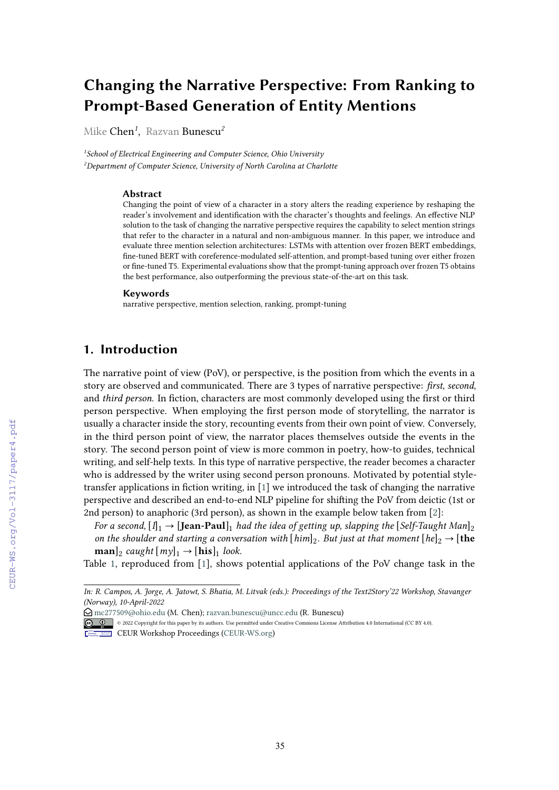# **Changing the Narrative Perspective: From Ranking to Prompt-Based Generation of Entity Mentions**

Mike Chen*<sup>1</sup>* , Razvan Bunescu*<sup>2</sup>*

*1 School of Electrical Engineering and Computer Science, Ohio University 2 Department of Computer Science, University of North Carolina at Charlotte*

#### **Abstract**

Changing the point of view of a character in a story alters the reading experience by reshaping the reader's involvement and identifcation with the character's thoughts and feelings. An efective NLP solution to the task of changing the narrative perspective requires the capability to select mention strings that refer to the character in a natural and non-ambiguous manner. In this paper, we introduce and evaluate three mention selection architectures: LSTMs with attention over frozen BERT embeddings, fne-tuned BERT with coreference-modulated self-attention, and prompt-based tuning over either frozen or fne-tuned T5. Experimental evaluations show that the prompt-tuning approach over frozen T5 obtains the best performance, also outperforming the previous state-of-the-art on this task.

#### **Keywords**

narrative perspective, mention selection, ranking, prompt-tuning

# **1. Introduction**

The narrative point of view (PoV), or perspective, is the position from which the events in a story are observed and communicated. There are 3 types of narrative perspective: *frst*, *second*, and *third person*. In fiction, characters are most commonly developed using the first or third person perspective. When employing the frst person mode of storytelling, the narrator is usually a character inside the story, recounting events from their own point of view. Conversely, in the third person point of view, the narrator places themselves outside the events in the story. The second person point of view is more common in poetry, how-to guides, technical writing, and self-help texts. In this type of narrative perspective, the reader becomes a character who is addressed by the writer using second person pronouns. Motivated by potential styletransfer applications in fction writing, in [\[1\]](#page--1-0) we introduced the task of changing the narrative perspective and described an end-to-end NLP pipeline for shifing the PoV from deictic (1st or 2nd person) to anaphoric (3rd person), as shown in the example below taken from [\[2\]](#page--1-1):

*For a second,*  $[I]_1 \rightarrow [Jean-Paul]_1$  *had the idea of getting up, slapping the* [*Self-Taught Man*]<sub>2</sub> *on the shoulder and starting a conversation with*  $[him]_2$ *. But just at that moment*  $[he]_2 \rightarrow [the]$  $\textbf{man}|_2$  *caught*  $[my]_1 \rightarrow [\textbf{his}]_1$  *look.* 

Table [1,](#page--1-2) reproduced from [\[1\]](#page--1-0), shows potential applications of the PoV change task in the

*In: R. Campos, A. Jorge, A. Jatowt, S. Bhatia, M. Litvak (eds.): Proceedings of the Text2Story'22 Workshop, Stavanger (Norway), 10-April-2022*

<sup>£</sup> [mc277509@ohio.edu](mailto:mc277509@ohio.edu) (M. Chen); [razvan.bunescu@uncc.edu](mailto:razvan.bunescu@uncc.edu) (R. Bunescu)

<sup>© 2022</sup> Copyright for this paper by its authors. Use permitted under Creative Commons License Attribution 4.0 International (CC BY 4.0).

CEUR Workshop [Proceedings](http://ceur-ws.org) [\(CEUR-WS.org\)](http://ceur-ws.org)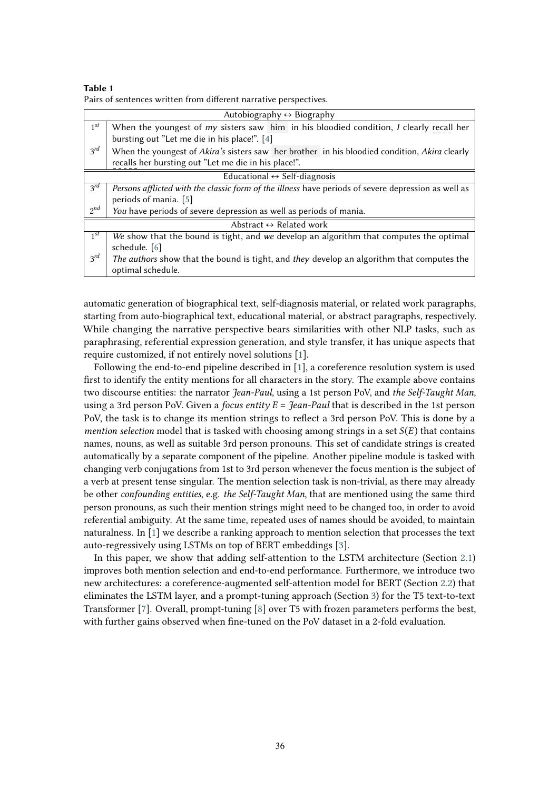| Table 1                                                           |  |
|-------------------------------------------------------------------|--|
| Pairs of sentences written from different narrative perspectives. |  |

| Autobiography $\leftrightarrow$ Biography    |                                                                                                             |  |  |  |  |  |
|----------------------------------------------|-------------------------------------------------------------------------------------------------------------|--|--|--|--|--|
| $1^{st}$                                     | When the youngest of $my$ sisters saw him in his bloodied condition, $I$ clearly recall her                 |  |  |  |  |  |
|                                              | bursting out "Let me die in his place!". [4]                                                                |  |  |  |  |  |
| $3^{rd}$                                     | When the youngest of <i>Akira's</i> sisters saw her brother in his bloodied condition, <i>Akira</i> clearly |  |  |  |  |  |
|                                              | recalls her bursting out "Let me die in his place!".                                                        |  |  |  |  |  |
| Educational $\leftrightarrow$ Self-diagnosis |                                                                                                             |  |  |  |  |  |
| $3^{rd}$                                     | Persons afflicted with the classic form of the illness have periods of severe depression as well as         |  |  |  |  |  |
|                                              | periods of mania. [5]                                                                                       |  |  |  |  |  |
| $2^{nd}$                                     | You have periods of severe depression as well as periods of mania.                                          |  |  |  |  |  |
| Abstract $\leftrightarrow$ Related work      |                                                                                                             |  |  |  |  |  |
| $1^{st}$                                     | We show that the bound is tight, and we develop an algorithm that computes the optimal                      |  |  |  |  |  |
|                                              | schedule. [6]                                                                                               |  |  |  |  |  |
| $3^{rd}$                                     | The authors show that the bound is tight, and they develop an algorithm that computes the                   |  |  |  |  |  |
|                                              | optimal schedule.                                                                                           |  |  |  |  |  |

automatic generation of biographical text, self-diagnosis material, or related work paragraphs, starting from auto-biographical text, educational material, or abstract paragraphs, respectively. While changing the narrative perspective bears similarities with other NLP tasks, such as paraphrasing, referential expression generation, and style transfer, it has unique aspects that require customized, if not entirely novel solutions [\[1\]](#page-8-3).

Following the end-to-end pipeline described in [\[1\]](#page-8-3), a coreference resolution system is used frst to identify the entity mentions for all characters in the story. The example above contains two discourse entities: the narrator *Jean-Paul*, using a 1st person PoV, and *the Self-Taught Man*, using a 3rd person PoV. Given a *focus entity*  $E =$  *Jean-Paul* that is described in the 1st person PoV, the task is to change its mention strings to refect a 3rd person PoV. This is done by a *mention selection* model that is tasked with choosing among strings in a set  $S(E)$  that contains names, nouns, as well as suitable 3rd person pronouns. This set of candidate strings is created automatically by a separate component of the pipeline. Another pipeline module is tasked with changing verb conjugations from 1st to 3rd person whenever the focus mention is the subject of a verb at present tense singular. The mention selection task is non-trivial, as there may already be other *confounding entities*, e.g. *the Self-Taught Man*, that are mentioned using the same third person pronouns, as such their mention strings might need to be changed too, in order to avoid referential ambiguity. At the same time, repeated uses of names should be avoided, to maintain naturalness. In [\[1\]](#page-8-3) we describe a ranking approach to mention selection that processes the text auto-regressively using LSTMs on top of BERT embeddings [\[3\]](#page-8-4).

In this paper, we show that adding self-attention to the LSTM architecture (Section [2.1\)](#page-2-0) improves both mention selection and end-to-end performance. Furthermore, we introduce two new architectures: a coreference-augmented self-attention model for BERT (Section [2.2\)](#page-3-0) that eliminates the LSTM layer, and a prompt-tuning approach (Section [3\)](#page-4-0) for the T5 text-to-text Transformer [\[7\]](#page-8-5). Overall, prompt-tuning [\[8\]](#page-8-6) over T5 with frozen parameters performs the best, with further gains observed when fne-tuned on the PoV dataset in a 2-fold evaluation.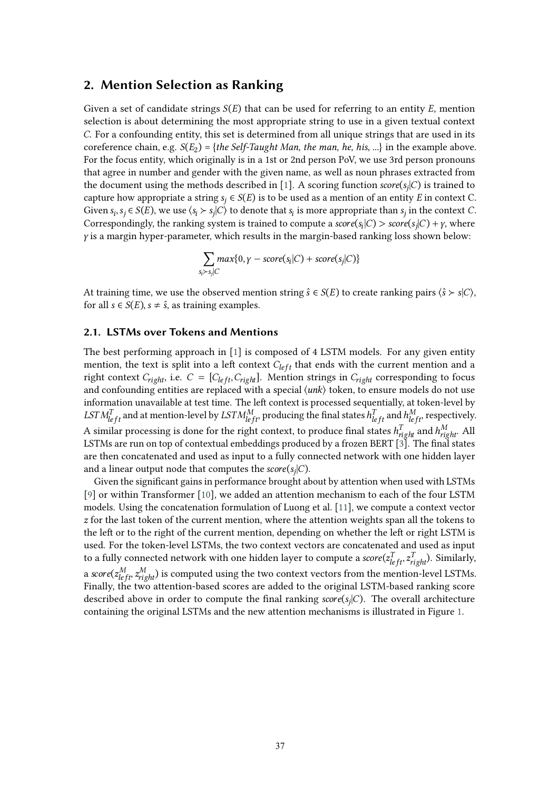### **2. Mention Selection as Ranking**

Given a set of candidate strings  $S(E)$  that can be used for referring to an entity E, mention selection is about determining the most appropriate string to use in a given textual context . For a confounding entity, this set is determined from all unique strings that are used in its coreference chain, e.g.  $S(E_2) = \{the Self-Taught Man, the man, he, his, ...\}$  in the example above. For the focus entity, which originally is in a 1st or 2nd person PoV, we use 3rd person pronouns that agree in number and gender with the given name, as well as noun phrases extracted from the document using the methods described in [\[1\]](#page-8-3). A scoring function  $score(s_i|C)$  is trained to capture how appropriate a string  $s_i \in S(E)$  is to be used as a mention of an entity E in context C. Given  $s_i$ ,  $s_i \in S(E)$ , we use  $\langle s_i \rangle s_i | C \rangle$  to denote that  $s_i$  is more appropriate than  $s_i$  in the context *C*. Correspondingly, the ranking system is trained to compute a  $score(s_i|C) > score(s_i|C) + \gamma$ , where  $\gamma$  is a margin hyper-parameter, which results in the margin-based ranking loss shown below:

$$
\sum_{s_i \succ s_j | C} max\{0, \gamma - score(s_i | C) + score(s_j | C)\}
$$

At training time, we use the observed mention string  $\hat{s} \in S(E)$  to create ranking pairs  $\langle \hat{s} \rangle \rangle$ , for all  $s \in S(E)$ ,  $s \neq \hat{s}$ , as training examples.

### <span id="page-2-0"></span>**2.1. LSTMs over Tokens and Mentions**

The best performing approach in [\[1\]](#page-8-3) is composed of 4 LSTM models. For any given entity mention, the text is split into a left context  $C_{left}$  that ends with the current mention and a right context  $C_{right}$ , i.e.  $C = [C_{left}, C_{right}]$ . Mention strings in  $C_{right}$  corresponding to focus and confounding entities are replaced with a special  $\langle$ *unk* $\rangle$  token, to ensure models do not use information unavailable at test time. The left context is processed sequentially, at token-level by  $LSTM_{left}^T$  and at mention-level by  $LSTM_{left}^M$  producing the final states  $h_{left}^T$  and  $h_{left}^M$  respectively. A similar processing is done for the right context, to produce final states  $h^T_{right}$  and  $h^M_{right}$ . All LSTMs are run on top of contextual embeddings produced by a frozen BERT [\[3\]](#page-8-4). The final states are then concatenated and used as input to a fully connected network with one hidden layer and a linear output node that computes the  $score(s_i|C)$ .

Given the signifcant gains in performance brought about by attention when used with LSTMs [\[9\]](#page-8-7) or within Transformer [\[10\]](#page-8-8), we added an attention mechanism to each of the four LSTM models. Using the concatenation formulation of Luong et al. [\[11\]](#page-8-9), we compute a context vector  $\zeta$  for the last token of the current mention, where the attention weights span all the tokens to the left or to the right of the current mention, depending on whether the left or right LSTM is used. For the token-level LSTMs, the two context vectors are concatenated and used as input to a fully connected network with one hidden layer to compute a  $\mathit{score}(z_{left}^T, z_{right}^T)$ . Similarly, a score $(z_{left}^{M}, z_{right}^{M})$  is computed using the two context vectors from the mention-level LSTMs. Finally, the two attention-based scores are added to the original LSTM-based ranking score described above in order to compute the final ranking  $score(s<sub>i</sub>|C)$ . The overall architecture containing the original LSTMs and the new attention mechanisms is illustrated in Figure [1.](#page-3-1)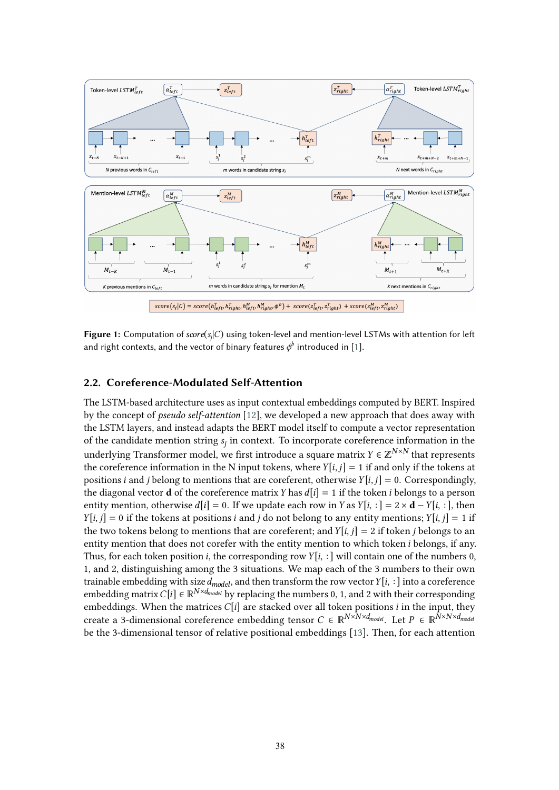

<span id="page-3-1"></span>**Figure 1:** Computation of  $score(s_i|C)$  using token-level and mention-level LSTMs with attention for left and right contexts, and the vector of binary features  $\phi^b$  introduced in [\[1\]](#page-8-3).

### <span id="page-3-0"></span>**2.2. Coreference-Modulated Self-Attention**

The LSTM-based architecture uses as input contextual embeddings computed by BERT. Inspired by the concept of *pseudo self-attention* [\[12\]](#page-8-10), we developed a new approach that does away with the LSTM layers, and instead adapts the BERT model itself to compute a vector representation of the candidate mention string  $s_i$  in context. To incorporate coreference information in the underlying Transformer model, we first introduce a square matrix  $Y \in \mathbb{Z}^{N \times N}$  that represents the coreference information in the N input tokens, where  $Y[i, j] = 1$  if and only if the tokens at positions *i* and *j* belong to mentions that are coreferent, otherwise  $Y[i, j] = 0$ . Correspondingly, the diagonal vector **d** of the coreference matrix Y has  $d[i] = 1$  if the token *i* belongs to a person entity mention, otherwise  $d[i] = 0$ . If we update each row in Y as  $Y[i, :] = 2 \times d - Y[i, :]$ , then  $[Y[i, j] = 0$  if the tokens at positions *i* and *j* do not belong to any entity mentions;  $Y[i, j] = 1$  if the two tokens belong to mentions that are coreferent; and  $Y[i, j] = 2$  if token *i* belongs to an entity mention that does not corefer with the entity mention to which token  $i$  belongs, if any. Thus, for each token position *i*, the corresponding row  $Y[i, :]$  will contain one of the numbers 0, 1, and 2, distinguishing among the 3 situations. We map each of the 3 numbers to their own trainable embedding with size  $d_{model}$ , and then transform the row vector  $Y[i, :]$  into a coreference embedding matrix  $C[i] \in \mathbb{R}^{N \times d_{model}}$  by replacing the numbers 0, 1, and 2 with their corresponding embeddings. When the matrices  $C[i]$  are stacked over all token positions *i* in the input, they create a 3-dimensional coreference embedding tensor  $C \in \mathbb{R}^{N \times N \times d_{model}}$ . Let  $P \in \mathbb{R}^{N \times N \times d_{model}}$ be the 3-dimensional tensor of relative positional embeddings [\[13\]](#page-8-11). Then, for each attention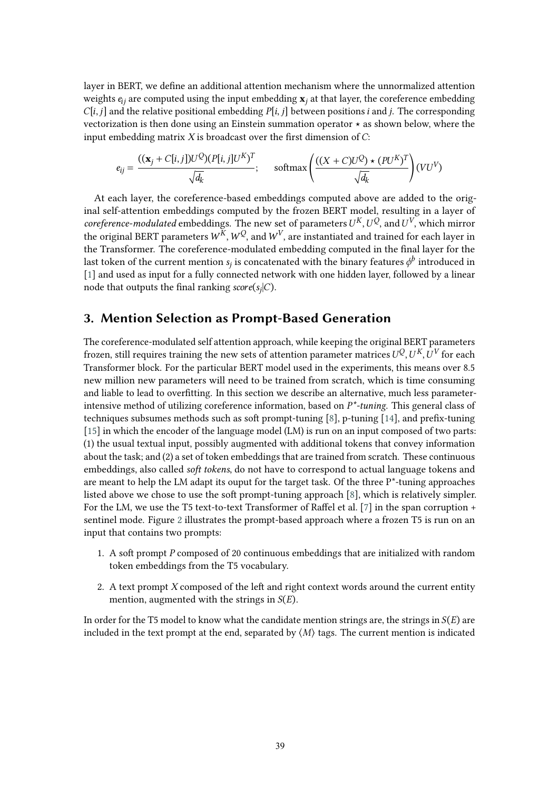layer in BERT, we defne an additional attention mechanism where the unnormalized attention weights  $e_{ii}$  are computed using the input embedding  $\mathbf{x}_i$  at that layer, the coreference embedding  $C[i, j]$  and the relative positional embedding  $P[i, j]$  between positions *i* and *j*. The corresponding vectorization is then done using an Einstein summation operator  $\star$  as shown below, where the input embedding matrix  $X$  is broadcast over the first dimension of  $C$ :

$$
e_{ij} = \frac{((\mathbf{x}_j + C[i,j])U^Q)(P[i,j]U^K)^T}{\sqrt{d_k}}; \quad \text{softmax}\left(\frac{((X+C)U^Q) \star (PU^K)^T}{\sqrt{d_k}}\right)(VU^V)
$$

At each layer, the coreference-based embeddings computed above are added to the original self-attention embeddings computed by the frozen BERT model, resulting in a layer of *coreference-modulated* embeddings. The new set of parameters  $U^{K}$ ,  $U^{Q}$ , and  $U^{V}$ , which mirror the original BERT parameters  $W^{\overline{k}}$ ,  $W^{\overline{Q}}$ , and  $W^V$ , are instantiated and trained for each layer in the Transformer. The coreference-modulated embedding computed in the fnal layer for the last token of the current mention  $s_i$  is concatenated with the binary features  $\phi^b$  introduced in [\[1\]](#page-8-3) and used as input for a fully connected network with one hidden layer, followed by a linear node that outputs the final ranking  $score(s_i|C)$ .

### <span id="page-4-0"></span>**3. Mention Selection as Prompt-Based Generation**

The coreference-modulated self attention approach, while keeping the original BERT parameters frozen, still requires training the new sets of attention parameter matrices  $U^Q$ ,  $U^K$ ,  $U^V$  for each Transformer block. For the particular BERT model used in the experiments, this means over 8.5 new million new parameters will need to be trained from scratch, which is time consuming and liable to lead to overftting. In this section we describe an alternative, much less parameterintensive method of utilizing coreference information, based on *P\*-tuning*. This general class of techniques subsumes methods such as soft prompt-tuning [\[8\]](#page-8-6), p-tuning [\[14\]](#page-8-12), and prefix-tuning [\[15\]](#page-8-13) in which the encoder of the language model (LM) is run on an input composed of two parts: (1) the usual textual input, possibly augmented with additional tokens that convey information about the task; and (2) a set of token embeddings that are trained from scratch. These continuous embeddings, also called *soft tokens*, do not have to correspond to actual language tokens and are meant to help the LM adapt its ouput for the target task. Of the three  $P^*$ -tuning approaches listed above we chose to use the soft prompt-tuning approach  $[8]$ , which is relatively simpler. For the LM, we use the T5 text-to-text Transformer of Raffel et al. [\[7\]](#page-8-5) in the span corruption + sentinel mode. Figure [2](#page-5-0) illustrates the prompt-based approach where a frozen T5 is run on an input that contains two prompts:

- 1. A soft prompt P composed of 20 continuous embeddings that are initialized with random token embeddings from the T5 vocabulary.
- 2. A text prompt  $X$  composed of the left and right context words around the current entity mention, augmented with the strings in  $S(E)$ .

In order for the T5 model to know what the candidate mention strings are, the strings in  $S(E)$  are included in the text prompt at the end, separated by  $\langle M \rangle$  tags. The current mention is indicated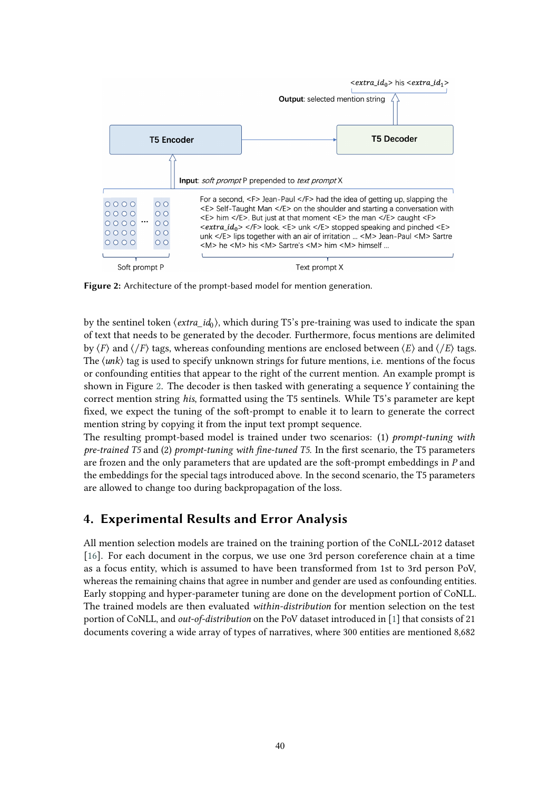

<span id="page-5-0"></span>**Figure 2:** Architecture of the prompt-based model for mention generation.

by the sentinel token  $\langle extra\ id_0\rangle$ , which during T5's pre-training was used to indicate the span of text that needs to be generated by the decoder. Furthermore, focus mentions are delimited by  $\langle F \rangle$  and  $\langle F \rangle$  tags, whereas confounding mentions are enclosed between  $\langle E \rangle$  and  $\langle F \rangle$  tags. The  $\langle$ *unk* $\rangle$  tag is used to specify unknown strings for future mentions, i.e. mentions of the focus or confounding entities that appear to the right of the current mention. An example prompt is shown in Figure [2.](#page-5-0) The decoder is then tasked with generating a sequence  $Y$  containing the correct mention string *his*, formatted using the T5 sentinels. While T5's parameter are kept fixed, we expect the tuning of the soft-prompt to enable it to learn to generate the correct mention string by copying it from the input text prompt sequence.

The resulting prompt-based model is trained under two scenarios: (1) *prompt-tuning with pre-trained T5* and (2) *prompt-tuning with fne-tuned T5*. In the frst scenario, the T5 parameters are frozen and the only parameters that are updated are the soft-prompt embeddings in  $P$  and the embeddings for the special tags introduced above. In the second scenario, the T5 parameters are allowed to change too during backpropagation of the loss.

# **4. Experimental Results and Error Analysis**

All mention selection models are trained on the training portion of the CoNLL-2012 dataset [\[16\]](#page-8-14). For each document in the corpus, we use one 3rd person coreference chain at a time as a focus entity, which is assumed to have been transformed from 1st to 3rd person PoV, whereas the remaining chains that agree in number and gender are used as confounding entities. Early stopping and hyper-parameter tuning are done on the development portion of CoNLL. The trained models are then evaluated *within-distribution* for mention selection on the test portion of CoNLL, and *out-of-distribution* on the PoV dataset introduced in [\[1\]](#page-8-3) that consists of 21 documents covering a wide array of types of narratives, where 300 entities are mentioned 8,682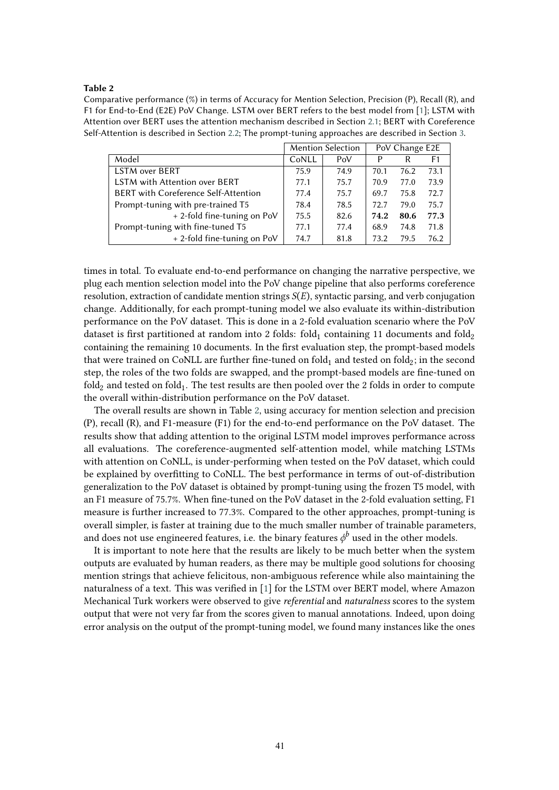#### <span id="page-6-0"></span>**Table 2**

Comparative performance (%) in terms of Accuracy for Mention Selection, Precision (P), Recall (R), and F1 for End-to-End (E2E) PoV Change. LSTM over BERT refers to the best model from [\[1\]](#page-8-3); LSTM with Attention over BERT uses the attention mechanism described in Section [2.1;](#page-2-0) BERT with Coreference Self-Attention is described in Section [2.2;](#page-3-0) The prompt-tuning approaches are described in Section [3.](#page-4-0)

|                                             |       | Mention Selection | PoV Change E2E |      |      |
|---------------------------------------------|-------|-------------------|----------------|------|------|
| Model                                       | CoNLL | PoV               | P              | R    | F1   |
| <b>LSTM over BERT</b>                       | 75.9  | 74.9              | 70.1           | 76.2 | 73.1 |
| <b>LSTM with Attention over BERT</b>        | 77.1  | 75.7              | 70.9           | 77.0 | 73.9 |
| <b>BERT</b> with Coreference Self-Attention | 77.4  | 75.7              | 69.7           | 75.8 | 72.7 |
| Prompt-tuning with pre-trained T5           | 78.4  | 78.5              | 72.7           | 79.0 | 75.7 |
| + 2-fold fine-tuning on PoV                 | 75.5  | 82.6              | 74.2           | 80.6 | 77.3 |
| Prompt-tuning with fine-tuned T5            | 77.1  | 77.4              | 68.9           | 74.8 | 71.8 |
| + 2-fold fine-tuning on PoV                 | 74.7  | 81.8              | 73.2           | 79.5 | 76.2 |

times in total. To evaluate end-to-end performance on changing the narrative perspective, we plug each mention selection model into the PoV change pipeline that also performs coreference resolution, extraction of candidate mention strings  $S(E)$ , syntactic parsing, and verb conjugation change. Additionally, for each prompt-tuning model we also evaluate its within-distribution performance on the PoV dataset. This is done in a 2-fold evaluation scenario where the PoV dataset is first partitioned at random into 2 folds: fold, containing 11 documents and fold<sub>2</sub> containing the remaining 10 documents. In the frst evaluation step, the prompt-based models that were trained on CoNLL are further fine-tuned on fold $_1$  and tested on fold $_2$ ; in the second step, the roles of the two folds are swapped, and the prompt-based models are fne-tuned on fold<sub>2</sub> and tested on fold<sub>1</sub>. The test results are then pooled over the 2 folds in order to compute the overall within-distribution performance on the PoV dataset.

The overall results are shown in Table [2,](#page-6-0) using accuracy for mention selection and precision (P), recall (R), and F1-measure (F1) for the end-to-end performance on the PoV dataset. The results show that adding attention to the original LSTM model improves performance across all evaluations. The coreference-augmented self-attention model, while matching LSTMs with attention on CoNLL, is under-performing when tested on the PoV dataset, which could be explained by overftting to CoNLL. The best performance in terms of out-of-distribution generalization to the PoV dataset is obtained by prompt-tuning using the frozen T5 model, with an F1 measure of 75.7%. When fne-tuned on the PoV dataset in the 2-fold evaluation setting, F1 measure is further increased to 77.3%. Compared to the other approaches, prompt-tuning is overall simpler, is faster at training due to the much smaller number of trainable parameters, and does not use engineered features, i.e. the binary features  $\phi^b$  used in the other models.

It is important to note here that the results are likely to be much better when the system outputs are evaluated by human readers, as there may be multiple good solutions for choosing mention strings that achieve felicitous, non-ambiguous reference while also maintaining the naturalness of a text. This was verifed in [\[1\]](#page-8-3) for the LSTM over BERT model, where Amazon Mechanical Turk workers were observed to give *referential* and *naturalness* scores to the system output that were not very far from the scores given to manual annotations. Indeed, upon doing error analysis on the output of the prompt-tuning model, we found many instances like the ones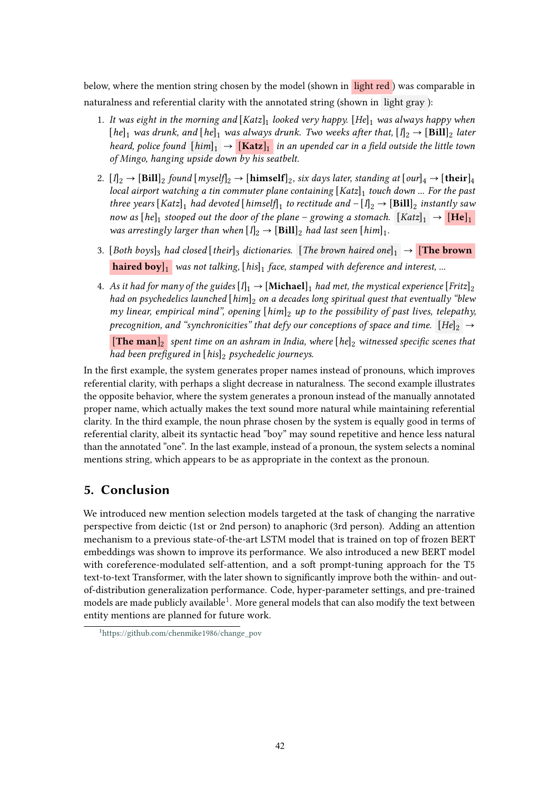below, where the mention string chosen by the model (shown in light red ) was comparable in naturalness and referential clarity with the annotated string (shown in light gray ):

- 1. It was eight in the morning and  $[Katz]_1$  looked very happy.  $[He]_1$  was always happy when [he]<sub>1</sub> was drunk, and [he]<sub>1</sub> was always drunk. Two weeks after that,  $[I]_2 \rightarrow [Bill]_2$  later *heard, police found*  $[\text{him}]_1 \rightarrow [\text{Katz}]_1$  *in an upended car in a field outside the little town of Mingo, hanging upside down by his seatbelt.*
- 2.  $[I]_2 \rightarrow [Bill]_2$  found  $[myself]_2 \rightarrow [himself]_2$ , six days later, standing at  $[our]_4 \rightarrow [their]_4$ *local airport watching a tin commuter plane containing* [*Katz*]<sub>1</sub> *touch down ... For the past three years*  $[Katz]_1$  *had devoted*  $[kimself]_1$  *to rectitude and*  $-[I]_2 \rightarrow [Bill]_2$  *instantly saw now as*  $[he]_1$  *stooped out the door of the plane – growing a stomach.*  $[Katz]_1 \rightarrow [He]_1$ *was arrestingly larger than when*  $[I]_2 \rightarrow [Bill]_2$  *had last seen*  $[him]_1$ *.*
- 3. [Both boys]<sub>3</sub> had closed [their]<sub>3</sub> dictionaries. [The brown haired one]<sub>1</sub>  $\rightarrow$  **[The brown haired boy**]<sup>*l*</sup> was not talking,  $[his]$ <sup>1</sup> face, stamped with deference and interest, ...
- 4. As it had for many of the guides  $[I]_1 \rightarrow [Michael]_1$  had met, the mystical experience  $[Fritz]_2$ *had on psychedelics launched* [*him*] *on a decades long spiritual quest that eventually "blew my linear, empirical mind", opening* [him]<sub>2</sub> up to the possibility of past lives, telepathy, *precognition, and "synchronicities" that defy our conceptions of space and time.*  $[He]_2 \rightarrow$

 $\left[\text{The man}\right]_2$  spent time on an ashram in India, where  $\left[he\right]_2$  witnessed specific scenes that *had been prefgured in* [*his*] *psychedelic journeys.*

In the frst example, the system generates proper names instead of pronouns, which improves referential clarity, with perhaps a slight decrease in naturalness. The second example illustrates the opposite behavior, where the system generates a pronoun instead of the manually annotated proper name, which actually makes the text sound more natural while maintaining referential clarity. In the third example, the noun phrase chosen by the system is equally good in terms of referential clarity, albeit its syntactic head "boy" may sound repetitive and hence less natural than the annotated "one". In the last example, instead of a pronoun, the system selects a nominal mentions string, which appears to be as appropriate in the context as the pronoun.

# **5. Conclusion**

We introduced new mention selection models targeted at the task of changing the narrative perspective from deictic (1st or 2nd person) to anaphoric (3rd person). Adding an attention mechanism to a previous state-of-the-art LSTM model that is trained on top of frozen BERT embeddings was shown to improve its performance. We also introduced a new BERT model with coreference-modulated self-attention, and a soft prompt-tuning approach for the T5 text-to-text Transformer, with the later shown to signifcantly improve both the within- and outof-distribution generalization performance. Code, hyper-parameter settings, and pre-trained models are made publicly available<sup>1</sup>. More general models that can also modify the text between entity mentions are planned for future work.

<span id="page-7-0"></span><sup>1</sup> [https://github.com/chenmike1986/change\\_pov](https://github.com/chenmike1986/change_pov)